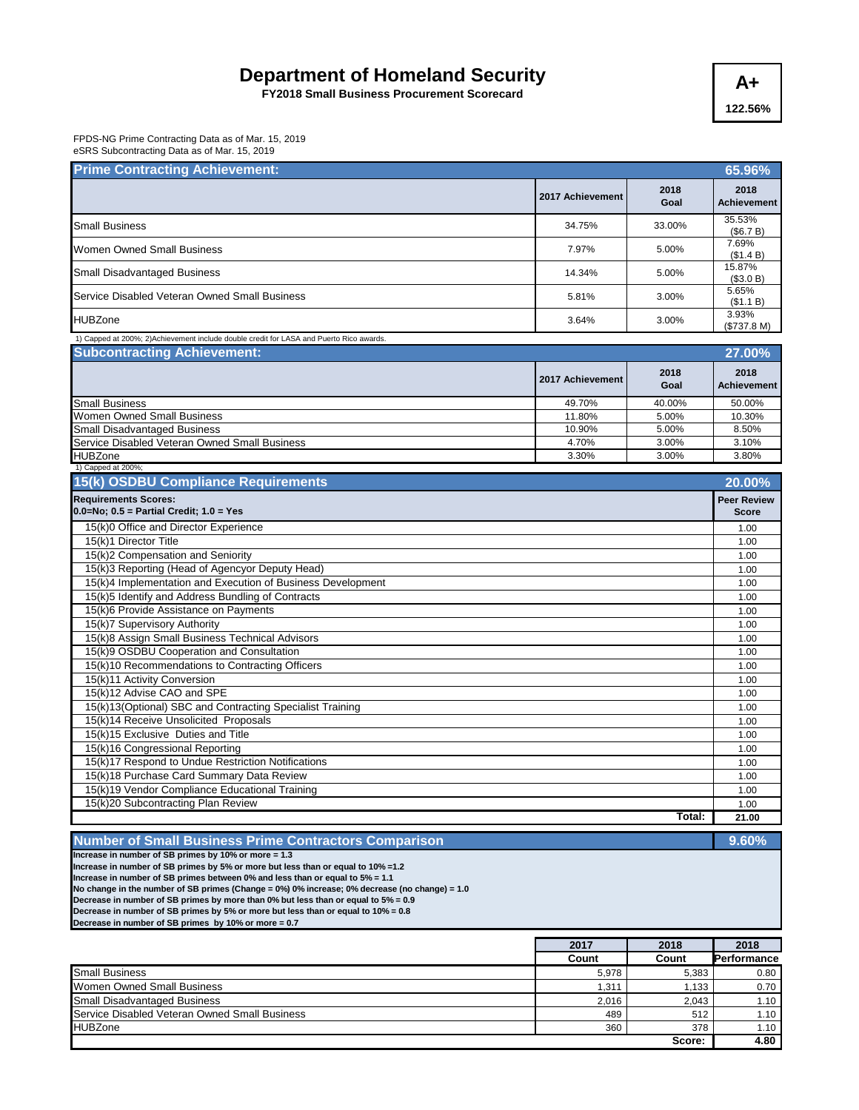## **Department of Homeland Security A+**

**FY2018 Small Business Procurement Scorecard**

**122.56%**

FPDS-NG Prime Contracting Data as of Mar. 15, 2019 eSRS Subcontracting Data as of Mar. 15, 2019

| <b>Prime Contracting Achievement:</b>                                                    |                  |              | 65.96%                             |
|------------------------------------------------------------------------------------------|------------------|--------------|------------------------------------|
|                                                                                          | 2017 Achievement | 2018<br>Goal | 2018<br><b>Achievement</b>         |
| <b>Small Business</b>                                                                    | 34.75%           | 33.00%       | 35.53%<br>(\$6.7 B)                |
| <b>Women Owned Small Business</b>                                                        | 7.97%            | 5.00%        | 7.69%<br>(\$1.4 B)                 |
| <b>Small Disadvantaged Business</b>                                                      | 14.34%           | 5.00%        | 15.87%<br>(\$3.0 B)                |
| Service Disabled Veteran Owned Small Business                                            | 5.81%            | 3.00%        | 5.65%<br>(\$1.1 B)                 |
| <b>HUBZone</b>                                                                           | 3.64%            | 3.00%        | 3.93%<br>(\$737.8 M)               |
| 1) Capped at 200%; 2) Achievement include double credit for LASA and Puerto Rico awards. |                  |              |                                    |
| <b>Subcontracting Achievement:</b>                                                       |                  |              | 27.00%                             |
|                                                                                          | 2017 Achievement | 2018<br>Goal | 2018<br><b>Achievement</b>         |
| <b>Small Business</b>                                                                    | 49.70%           | 40.00%       | 50.00%                             |
| <b>Women Owned Small Business</b>                                                        | 11.80%           | 5.00%        | 10.30%                             |
| Small Disadvantaged Business                                                             | 10.90%           | 5.00%        | 8.50%                              |
| Service Disabled Veteran Owned Small Business                                            | 4.70%            | 3.00%        | 3.10%                              |
| <b>HUBZone</b>                                                                           | 3.30%            | 3.00%        | 3.80%                              |
| 1) Capped at 200%;                                                                       |                  |              |                                    |
| 15(k) OSDBU Compliance Requirements                                                      |                  |              | 20.00%                             |
| <b>Requirements Scores:</b><br>$0.0 = No$ ; $0.5 = Partial Credit$ ; $1.0 = Yes$         |                  |              | <b>Peer Review</b><br><b>Score</b> |
| 15(k)0 Office and Director Experience                                                    |                  |              | 1.00                               |
| 15(k)1 Director Title                                                                    |                  |              | 1.00                               |
| 15(k)2 Compensation and Seniority                                                        |                  |              | 1.00                               |
| 15(k)3 Reporting (Head of Agencyor Deputy Head)                                          |                  |              | 1.00                               |
| 15(k)4 Implementation and Execution of Business Development                              |                  |              | 1.00                               |
| 15(k)5 Identify and Address Bundling of Contracts                                        |                  |              | 1.00                               |
| 15(k)6 Provide Assistance on Payments                                                    |                  |              | 1.00                               |
| 15(k)7 Supervisory Authority                                                             |                  |              | 1.00                               |
| 15(k)8 Assign Small Business Technical Advisors                                          |                  |              | 1.00                               |
| 15(k)9 OSDBU Cooperation and Consultation                                                |                  |              | 1.00                               |
| 15(k)10 Recommendations to Contracting Officers                                          |                  |              | 1.00                               |
| 15(k)11 Activity Conversion                                                              |                  |              | 1.00                               |
| 15(k)12 Advise CAO and SPE                                                               |                  |              | 1.00                               |
| 15(k)13(Optional) SBC and Contracting Specialist Training                                |                  |              | 1.00                               |
| 15(k)14 Receive Unsolicited Proposals                                                    |                  |              | 1.00                               |
| 15(k)15 Exclusive Duties and Title                                                       |                  |              | 1.00                               |
| 15(k)16 Congressional Reporting                                                          |                  |              | 1.00                               |
| 15(k)17 Respond to Undue Restriction Notifications                                       |                  |              | 1.00                               |
| 15(k)18 Purchase Card Summary Data Review                                                |                  |              | 1.00                               |
| 15(k)19 Vendor Compliance Educational Training                                           |                  |              | 1.00                               |
| 15(k)20 Subcontracting Plan Review                                                       |                  |              | 1.00                               |
|                                                                                          |                  | Total:       | 21.00                              |

**Number of Small Business Prime Contractors Comparison** 

**Increase in number of SB primes by 10% or more = 1.3 Increase in number of SB primes by 5% or more but less than or equal to 10% =1.2 Increase in number of SB primes between 0% and less than or equal to 5% = 1.1 No change in the number of SB primes (Change = 0%) 0% increase; 0% decrease (no change) = 1.0 Decrease in number of SB primes by more than 0% but less than or equal to 5% = 0.9 Decrease in number of SB primes by 5% or more but less than or equal to 10% = 0.8 Decrease in number of SB primes by 10% or more = 0.7**

**2017 2018 2018 Performance** Small Business 6,383 0.80 Women Owned Small Business 2, 200 and 200 and 200 and 200 and 200 and 200 and 200 and 200 and 200 and 200 and 200 and 200 and 200 and 200 and 200 and 200 and 200 and 200 and 200 and 200 and 200 and 200 and 200 and 200 and Small Disadvantaged Business 2,043 and 2,043 and 2,043 and 2,043 and 2,043 and 2,043 and 2,043 and 2,043 and 2,043 h.10 Service Disabled Veteran Owned Small Business **612 1.10 6 1.10 6 1.10 6 1.10 6 1.10 6 1.10 6 1.10 6 1.10 6 1.10 6 1.10 6 1.10 6 1.10 6 1.10 6 1.10 6 1.10 6 1.10** HUBZone 360 378 1.10  **4.80 Score:** 

**9.60%**